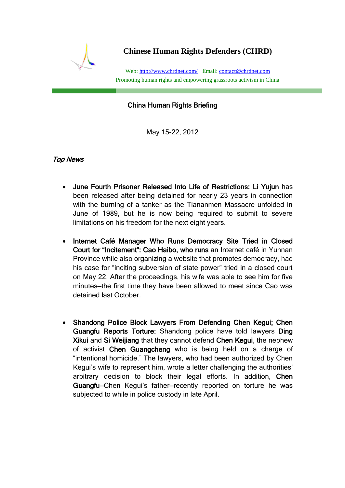

**Chinese Human Rights Defenders (CHRD)**

Web[: http://www.chrdnet.com/](http://www.chrdnet.com/) Email: [contact@chrdnet.com](mailto:contact@chrdnet.com) Promoting human rights and empowering grassroots activism in China

## China Human Rights Briefing

May 15-22, 2012

## Top News

- June Fourth Prisoner Released Into Life of Restrictions: Li Yujun has been released after being detained for nearly 23 years in connection with the burning of a tanker as the Tiananmen Massacre unfolded in June of 1989, but he is now being required to submit to severe limitations on his freedom for the next eight years.
- Internet Café Manager Who Runs Democracy Site Tried in Closed Court for "Incitement": Cao Haibo, who runs an Internet café in Yunnan Province while also organizing a website that promotes democracy, had his case for "inciting subversion of state power" tried in a closed court on May 22. After the proceedings, his wife was able to see him for five minutes—the first time they have been allowed to meet since Cao was detained last October.
- Shandong Police Block Lawyers From Defending Chen Kegui; Chen Guangfu Reports Torture: Shandong police have told lawyers Ding Xikui and Si Weijiang that they cannot defend Chen Kegui, the nephew of activist Chen Guangcheng who is being held on a charge of "intentional homicide." The lawyers, who had been authorized by Chen Kegui's wife to represent him, wrote a letter challenging the authorities' arbitrary decision to block their legal efforts. In addition, Chen Guangfu—Chen Kegui's father—recently reported on torture he was subjected to while in police custody in late April.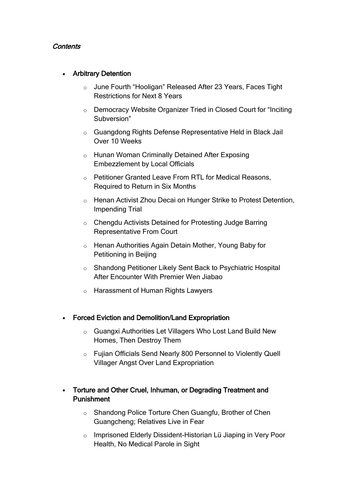### **Contents**

### Arbitrary Detention

- o June Fourth "Hooligan" Released After 23 Years, Faces Tight Restrictions for Next 8 Years
- o Democracy Website Organizer Tried in Closed Court for "Inciting Subversion"
- o Guangdong Rights Defense Representative Held in Black Jail Over 10 Weeks
- o Hunan Woman Criminally Detained After Exposing Embezzlement by Local Officials
- o Petitioner Granted Leave From RTL for Medical Reasons, Required to Return in Six Months
- o Henan Activist Zhou Decai on Hunger Strike to Protest Detention, Impending Trial
- o Chengdu Activists Detained for Protesting Judge Barring Representative From Court
- o Henan Authorities Again Detain Mother, Young Baby for Petitioning in Beijing
- o Shandong Petitioner Likely Sent Back to Psychiatric Hospital After Encounter With Premier Wen Jiabao
- o Harassment of Human Rights Lawyers
- Forced Eviction and Demolition/Land Expropriation
	- o Guangxi Authorities Let Villagers Who Lost Land Build New Homes, Then Destroy Them
	- o Fujian Officials Send Nearly 800 Personnel to Violently Quell Villager Angst Over Land Expropriation
- Torture and Other Cruel, Inhuman, or Degrading Treatment and Punishment
	- o Shandong Police Torture Chen Guangfu, Brother of Chen Guangcheng; Relatives Live in Fear
	- o Imprisoned Elderly Dissident-Historian Lü Jiaping in Very Poor Health, No Medical Parole in Sight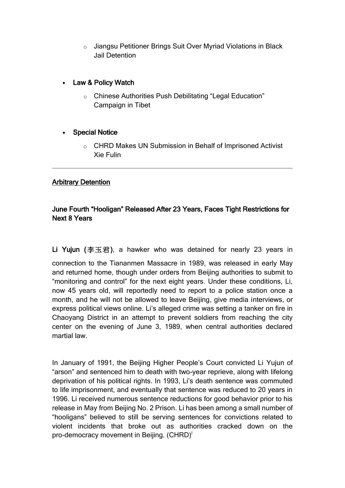o Jiangsu Petitioner Brings Suit Over Myriad Violations in Black Jail Detention

### Law & Policy Watch

o Chinese Authorities Push Debilitating "Legal Education" Campaign in Tibet

#### Special Notice

o CHRD Makes UN Submission in Behalf of Imprisoned Activist Xie Fulin

### Arbitrary Detention

### June Fourth "Hooligan" Released After 23 Years, Faces Tight Restrictions for Next 8 Years

Li Yujun (李玉君), a hawker who was detained for nearly 23 years in

connection to the Tiananmen Massacre in 1989, was released in early May and returned home, though under orders from Beijing authorities to submit to "monitoring and control" for the next eight years. Under these conditions, Li, now 45 years old, will reportedly need to report to a police station once a month, and he will not be allowed to leave Beijing, give media interviews, or express political views online. Li's alleged crime was setting a tanker on fire in Chaoyang District in an attempt to prevent soldiers from reaching the city center on the evening of June 3, 1989, when central authorities declared martial law.

In January of 1991, the Beijing Higher People's Court convicted Li Yujun of "arson" and sentenced him to death with two-year reprieve, along with lifelong deprivation of his political rights. In 1993, Li's death sentence was commuted to life imprisonment, and eventually that sentence was reduced to 20 years in 1996. Li received numerous sentence reductions for good behavior prior to his release in May from Beijing No. 2 Prison. Li has been among a small number of "hooligans" believed to still be serving sentences for convictions related to violent incidents that broke out as authorities cracked down on the pro-democracy movement in Beijing. (CHRD)<sup>i</sup>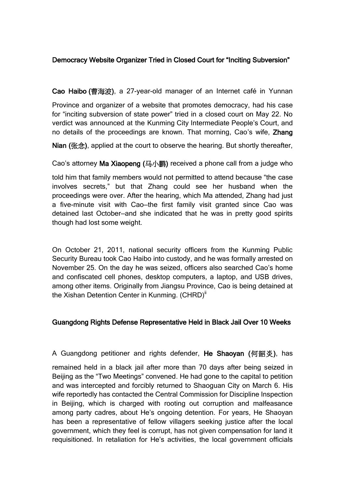# Democracy Website Organizer Tried in Closed Court for "Inciting Subversion"

Cao Haibo (曹海波), a 27-year-old manager of an Internet café in Yunnan

Province and organizer of a website that promotes democracy, had his case for "inciting subversion of state power" tried in a closed court on May 22. No verdict was announced at the Kunming City Intermediate People's Court, and no details of the proceedings are known. That morning, Cao's wife, Zhang

Nian (张念), applied at the court to observe the hearing. But shortly thereafter,

Cao's attorney Ma Xiaopeng (马小鹏) received a phone call from a judge who

told him that family members would not permitted to attend because "the case involves secrets," but that Zhang could see her husband when the proceedings were over. After the hearing, which Ma attended, Zhang had just a five-minute visit with Cao—the first family visit granted since Cao was detained last October—and she indicated that he was in pretty good spirits though had lost some weight.

On October 21, 2011, national security officers from the Kunming Public Security Bureau took Cao Haibo into custody, and he was formally arrested on November 25. On the day he was seized, officers also searched Cao's home and confiscated cell phones, desktop computers, a laptop, and USB drives, among other items. Originally from Jiangsu Province, Cao is being detained at the Xishan Detention Center in Kunming. (CHRD)<sup>ii</sup>

### Guangdong Rights Defense Representative Held in Black Jail Over 10 Weeks

A Guangdong petitioner and rights defender, He Shaoyan (何韶炎), has

remained held in a black jail after more than 70 days after being seized in Beijing as the "Two Meetings" convened. He had gone to the capital to petition and was intercepted and forcibly returned to Shaoguan City on March 6. His wife reportedly has contacted the Central Commission for Discipline Inspection in Beijing, which is charged with rooting out corruption and malfeasance among party cadres, about He's ongoing detention. For years, He Shaoyan has been a representative of fellow villagers seeking justice after the local government, which they feel is corrupt, has not given compensation for land it requisitioned. In retaliation for He's activities, the local government officials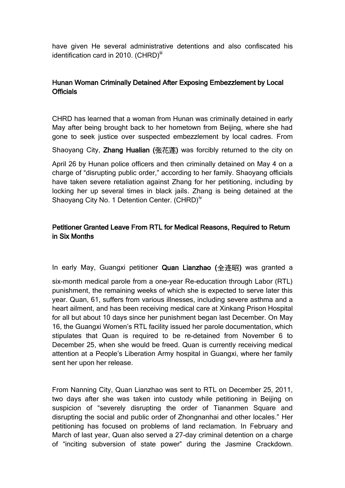have given He several administrative detentions and also confiscated his identification card in 2010. (CHRD)<sup>iii</sup>

## Hunan Woman Criminally Detained After Exposing Embezzlement by Local Officials

CHRD has learned that a woman from Hunan was criminally detained in early May after being brought back to her hometown from Beijing, where she had gone to seek justice over suspected embezzlement by local cadres. From

Shaoyang City, Zhang Hualian (张花莲) was forcibly returned to the city on

April 26 by Hunan police officers and then criminally detained on May 4 on a charge of "disrupting public order," according to her family. Shaoyang officials have taken severe retaliation against Zhang for her petitioning, including by locking her up several times in black jails. Zhang is being detained at the Shaoyang City No. 1 Detention Center. (CHRD)<sup>iv</sup>

### Petitioner Granted Leave From RTL for Medical Reasons, Required to Return in Six Months

In early May, Guangxi petitioner Quan Lianzhao (全连昭) was granted a

six-month medical parole from a one-year Re-education through Labor (RTL) punishment, the remaining weeks of which she is expected to serve later this year. Quan, 61, suffers from various illnesses, including severe asthma and a heart ailment, and has been receiving medical care at Xinkang Prison Hospital for all but about 10 days since her punishment began last December. On May 16, the Guangxi Women's RTL facility issued her parole documentation, which stipulates that Quan is required to be re-detained from November 6 to December 25, when she would be freed. Quan is currently receiving medical attention at a People's Liberation Army hospital in Guangxi, where her family sent her upon her release.

From Nanning City, Quan Lianzhao was sent to RTL on December 25, 2011, two days after she was taken into custody while petitioning in Beijing on suspicion of "severely disrupting the order of Tiananmen Square and disrupting the social and public order of Zhongnanhai and other locales." Her petitioning has focused on problems of land reclamation. In February and March of last year, Quan also served a 27-day criminal detention on a charge of "inciting subversion of state power" during the Jasmine Crackdown.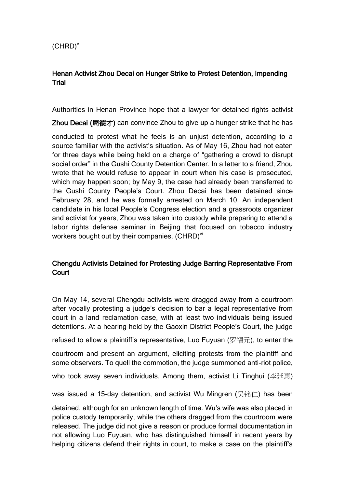# Henan Activist Zhou Decai on Hunger Strike to Protest Detention, Impending **Trial**

Authorities in Henan Province hope that a lawyer for detained rights activist

Zhou Decai (周德才) can convince Zhou to give up a hunger strike that he has

conducted to protest what he feels is an unjust detention, according to a source familiar with the activist's situation. As of May 16, Zhou had not eaten for three days while being held on a charge of "gathering a crowd to disrupt social order" in the Gushi County Detention Center. In a letter to a friend, Zhou wrote that he would refuse to appear in court when his case is prosecuted, which may happen soon; by May 9, the case had already been transferred to the Gushi County People's Court. Zhou Decai has been detained since February 28, and he was formally arrested on March 10. An independent candidate in his local People's Congress election and a grassroots organizer and activist for years, Zhou was taken into custody while preparing to attend a labor rights defense seminar in Beijing that focused on tobacco industry workers bought out by their companies. (CHRD)<sup>vi</sup>

## Chengdu Activists Detained for Protesting Judge Barring Representative From **Court**

On May 14, several Chengdu activists were dragged away from a courtroom after vocally protesting a judge's decision to bar a legal representative from court in a land reclamation case, with at least two individuals being issued detentions. At a hearing held by the Gaoxin District People's Court, the judge

refused to allow a plaintiff's representative, Luo Fuyuan (罗福元), to enter the

courtroom and present an argument, eliciting protests from the plaintiff and some observers. To quell the commotion, the judge summoned anti-riot police,

who took away seven individuals. Among them, activist Li Tinghui (李廷惠)

was issued a 15-day detention, and activist Wu Mingren (吴铭仁) has been

detained, although for an unknown length of time. Wu's wife was also placed in police custody temporarily, while the others dragged from the courtroom were released. The judge did not give a reason or produce formal documentation in not allowing Luo Fuyuan, who has distinguished himself in recent years by helping citizens defend their rights in court, to make a case on the plaintiff's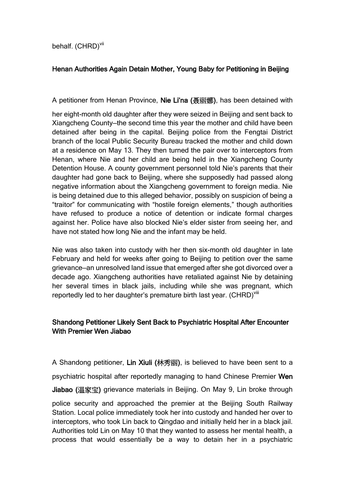behalf. (CHRD)<sup>vii</sup>

# Henan Authorities Again Detain Mother, Young Baby for Petitioning in Beijing

A petitioner from Henan Province, Nie Li'na (聂丽娜), has been detained with

her eight-month old daughter after they were seized in Beijing and sent back to Xiangcheng County—the second time this year the mother and child have been detained after being in the capital. Beijing police from the Fengtai District branch of the local Public Security Bureau tracked the mother and child down at a residence on May 13. They then turned the pair over to interceptors from Henan, where Nie and her child are being held in the Xiangcheng County Detention House. A county government personnel told Nie's parents that their daughter had gone back to Beijing, where she supposedly had passed along negative information about the Xiangcheng government to foreign media. Nie is being detained due to this alleged behavior, possibly on suspicion of being a "traitor" for communicating with "hostile foreign elements," though authorities have refused to produce a notice of detention or indicate formal charges against her. Police have also blocked Nie's elder sister from seeing her, and have not stated how long Nie and the infant may be held.

Nie was also taken into custody with her then six-month old daughter in late February and held for weeks after going to Beijing to petition over the same grievance—an unresolved land issue that emerged after she got divorced over a decade ago. Xiangcheng authorities have retaliated against Nie by detaining her several times in black jails, including while she was pregnant, which reportedly led to her daughter's premature birth last year. (CHRD)<sup>Viii</sup>

## Shandong Petitioner Likely Sent Back to Psychiatric Hospital After Encounter With Premier Wen Jiabao

A Shandong petitioner, Lin Xiuli (林秀丽), is believed to have been sent to a psychiatric hospital after reportedly managing to hand Chinese Premier Wen Jiabao (温家宝) grievance materials in Beijing. On May 9, Lin broke through police security and approached the premier at the Beijing South Railway Station. Local police immediately took her into custody and handed her over to interceptors, who took Lin back to Qingdao and initially held her in a black jail. Authorities told Lin on May 10 that they wanted to assess her mental health, a process that would essentially be a way to detain her in a psychiatric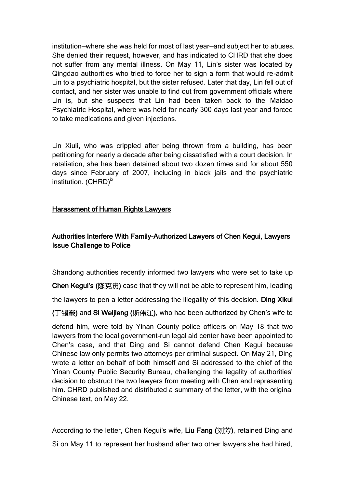institution—where she was held for most of last year—and subject her to abuses. She denied their request, however, and has indicated to CHRD that she does not suffer from any mental illness. On May 11, Lin's sister was located by Qingdao authorities who tried to force her to sign a form that would re-admit Lin to a psychiatric hospital, but the sister refused. Later that day, Lin fell out of contact, and her sister was unable to find out from government officials where Lin is, but she suspects that Lin had been taken back to the Maidao Psychiatric Hospital, where was held for nearly 300 days last year and forced to take medications and given injections.

Lin Xiuli, who was crippled after being thrown from a building, has been petitioning for nearly a decade after being dissatisfied with a court decision. In retaliation, she has been detained about two dozen times and for about 550 days since February of 2007, including in black jails and the psychiatric institution. (CHRD)<sup>ix</sup>

#### Harassment of Human Rights Lawyers

# Authorities Interfere With Family-Authorized Lawyers of Chen Kegui, Lawyers Issue Challenge to Police

Shandong authorities recently informed two lawyers who were set to take up

Chen Kegui's (陈克贵) case that they will not be able to represent him, leading

the lawyers to pen a letter addressing the illegality of this decision. Ding Xikui

(丁锡奎) and Si Weijiang (斯伟江), who had been authorized by Chen's wife to

defend him, were told by Yinan County police officers on May 18 that two lawyers from the local government-run legal aid center have been appointed to Chen's case, and that Ding and Si cannot defend Chen Kegui because Chinese law only permits two attorneys per criminal suspect. On May 21, Ding wrote a letter on behalf of both himself and Si addressed to the chief of the Yinan County Public Security Bureau, challenging the legality of authorities' decision to obstruct the two lawyers from meeting with Chen and representing him. CHRD published and distributed a [summary of the letter,](http://chrdnet.com/2012/05/22/chrd-news-alert-lawyers-pose-challenge-after-police-prevent-meeting-with-chen-kegui/) with the original Chinese text, on May 22.

According to the letter, Chen Kegui's wife, Liu Fang (刘芳), retained Ding and Si on May 11 to represent her husband after two other lawyers she had hired,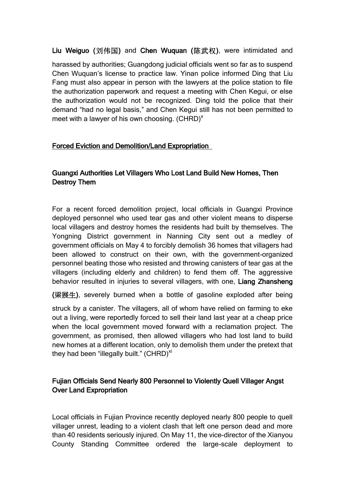Liu Weiguo (刘伟国) and Chen Wuquan (陈武权), were intimidated and

harassed by authorities; Guangdong judicial officials went so far as to suspend Chen Wuquan's license to practice law. Yinan police informed Ding that Liu Fang must also appear in person with the lawyers at the police station to file the authorization paperwork and request a meeting with Chen Kegui, or else the authorization would not be recognized. Ding told the police that their demand "had no legal basis," and Chen Kegui still has not been permitted to meet with a lawyer of his own choosing.  $(CHRD)^{x}$ 

### Forced Eviction and Demolition/Land Expropriation

## Guangxi Authorities Let Villagers Who Lost Land Build New Homes, Then Destroy Them

For a recent forced demolition project, local officials in Guangxi Province deployed personnel who used tear gas and other violent means to disperse local villagers and destroy homes the residents had built by themselves. The Yongning District government in Nanning City sent out a medley of government officials on May 4 to forcibly demolish 36 homes that villagers had been allowed to construct on their own, with the government-organized personnel beating those who resisted and throwing canisters of tear gas at the villagers (including elderly and children) to fend them off. The aggressive behavior resulted in injuries to several villagers, with one, Liang Zhansheng

(梁展生), severely burned when a bottle of gasoline exploded after being

struck by a canister. The villagers, all of whom have relied on farming to eke out a living, were reportedly forced to sell their land last year at a cheap price when the local government moved forward with a reclamation project. The government, as promised, then allowed villagers who had lost land to build new homes at a different location, only to demolish them under the pretext that they had been "illegally built."  $(CHRD)^{xi}$ 

## Fujian Officials Send Nearly 800 Personnel to Violently Quell Villager Angst Over Land Expropriation

Local officials in Fujian Province recently deployed nearly 800 people to quell villager unrest, leading to a violent clash that left one person dead and more than 40 residents seriously injured. On May 11, the vice-director of the Xianyou County Standing Committee ordered the large-scale deployment to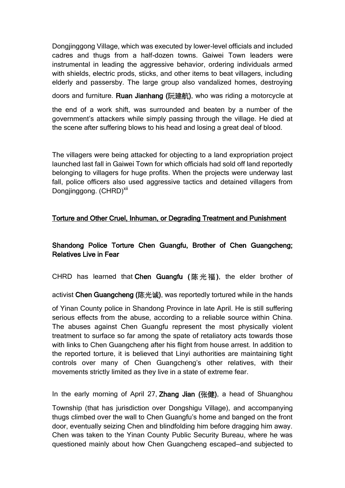Dongjinggong Village, which was executed by lower-level officials and included cadres and thugs from a half-dozen towns. Gaiwei Town leaders were instrumental in leading the aggressive behavior, ordering individuals armed with shields, electric prods, sticks, and other items to beat villagers, including elderly and passersby. The large group also vandalized homes, destroying

doors and furniture. Ruan Jianhang (阮建航), who was riding a motorcycle at

the end of a work shift, was surrounded and beaten by a number of the government's attackers while simply passing through the village. He died at the scene after suffering blows to his head and losing a great deal of blood.

The villagers were being attacked for objecting to a land expropriation project launched last fall in Gaiwei Town for which officials had sold off land reportedly belonging to villagers for huge profits. When the projects were underway last fall, police officers also used aggressive tactics and detained villagers from Dongjinggong. (CHRD)<sup>xii</sup>

### Torture and Other Cruel, Inhuman, or Degrading Treatment and Punishment

# Shandong Police Torture Chen Guangfu, Brother of Chen Guangcheng; Relatives Live in Fear

CHRD has learned that Chen Guangfu (陈光福), the elder brother of

activist Chen Guangcheng (陈光诚), was reportedly tortured while in the hands

of Yinan County police in Shandong Province in late April. He is still suffering serious effects from the abuse, according to a reliable source within China. The abuses against Chen Guangfu represent the most physically violent treatment to surface so far among the spate of retaliatory acts towards those with links to Chen Guangcheng after his flight from house arrest. In addition to the reported torture, it is believed that Linyi authorities are maintaining tight controls over many of Chen Guangcheng's other relatives, with their movements strictly limited as they live in a state of extreme fear.

In the early morning of April 27, Zhang Jian (张健), a head of Shuanghou

Township (that has jurisdiction over Dongshigu Village), and accompanying thugs climbed over the wall to Chen Guangfu's home and banged on the front door, eventually seizing Chen and blindfolding him before dragging him away. Chen was taken to the Yinan County Public Security Bureau, where he was questioned mainly about how Chen Guangcheng escaped—and subjected to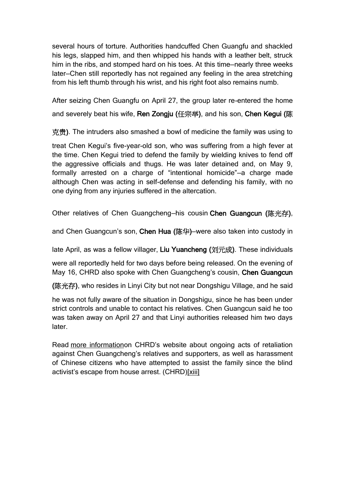several hours of torture. Authorities handcuffed Chen Guangfu and shackled his legs, slapped him, and then whipped his hands with a leather belt, struck him in the ribs, and stomped hard on his toes. At this time—nearly three weeks later—Chen still reportedly has not regained any feeling in the area stretching from his left thumb through his wrist, and his right foot also remains numb.

After seizing Chen Guangfu on April 27, the group later re-entered the home and severely beat his wife, Ren Zongju (任宗举), and his son, Chen Kegui (陈

克贵). The intruders also smashed a bowl of medicine the family was using to

treat Chen Kegui's five-year-old son, who was suffering from a high fever at the time. Chen Kegui tried to defend the family by wielding knives to fend off the aggressive officials and thugs. He was later detained and, on May 9, formally arrested on a charge of "intentional homicide"—a charge made although Chen was acting in self-defense and defending his family, with no one dying from any injuries suffered in the altercation.

Other relatives of Chen Guangcheng—his cousin Chen Guangcun (陈光存),

and Chen Guangcun's son, Chen Hua (陈华)—were also taken into custody in

late April, as was a fellow villager, Liu Yuancheng (刘元成). These individuals

were all reportedly held for two days before being released. On the evening of May 16, CHRD also spoke with Chen Guangcheng's cousin, Chen Guangcun

(陈光存), who resides in Linyi City but not near Dongshigu Village, and he said

he was not fully aware of the situation in Dongshigu, since he has been under strict controls and unable to contact his relatives. Chen Guangcun said he too was taken away on April 27 and that Linyi authorities released him two days later.

Read [more information](http://chrdnet.us4.list-manage.com/track/click?u=e16025408f339a9297e4e6b62&id=a14c927f13&e=c4475a4e16)on CHRD's website about ongoing acts of retaliation against Chen Guangcheng's relatives and supporters, as well as harassment of Chinese citizens who have attempted to assist the family since the blind activist's escape from house arrest. (CHRD[\)\[xiii\]](https://us4.admin.mailchimp.com/campaigns/wizard/html-template/?id=164133&template=26873#_edn13)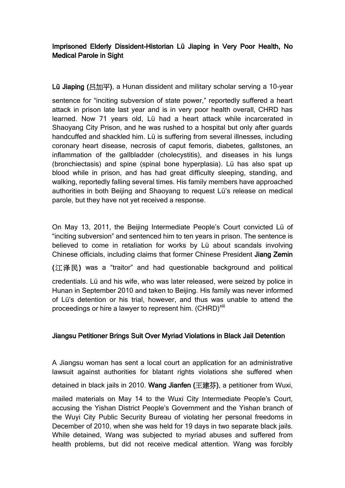# Imprisoned Elderly Dissident-Historian Lü Jiaping in Very Poor Health, No Medical Parole in Sight

Lü Jiaping (吕加平), a Hunan dissident and military scholar serving a 10-year

sentence for "inciting subversion of state power," reportedly suffered a heart attack in prison late last year and is in very poor health overall, CHRD has learned. Now 71 years old, Lü had a heart attack while incarcerated in Shaoyang City Prison, and he was rushed to a hospital but only after guards handcuffed and shackled him. Lü is suffering from several illnesses, including coronary heart disease, necrosis of caput femoris, diabetes, gallstones, an inflammation of the gallbladder (cholecystitis), and diseases in his lungs (bronchiectasis) and spine (spinal bone hyperplasia). Lü has also spat up blood while in prison, and has had great difficulty sleeping, standing, and walking, reportedly falling several times. His family members have approached authorities in both Beijing and Shaoyang to request Lü's release on medical parole, but they have not yet received a response.

On May 13, 2011, the Beijing Intermediate People's Court convicted Lü of "inciting subversion" and sentenced him to ten years in prison. The sentence is believed to come in retaliation for works by Lü about scandals involving Chinese officials, including claims that former Chinese President Jiang Zemin

(江泽民) was a "traitor" and had questionable background and political

credentials. Lü and his wife, who was later released, were seized by police in Hunan in September 2010 and taken to Beijing. His family was never informed of Lü's detention or his trial, however, and thus was unable to attend the proceedings or hire a lawyer to represent him. (CHRD)<sup>xiii</sup>

### Jiangsu Petitioner Brings Suit Over Myriad Violations in Black Jail Detention

A Jiangsu woman has sent a local court an application for an administrative lawsuit against authorities for blatant rights violations she suffered when detained in black jails in 2010. Wang Jianfen (王建芬), a petitioner from Wuxi,

mailed materials on May 14 to the Wuxi City Intermediate People's Court, accusing the Yishan District People's Government and the Yishan branch of the Wuyi City Public Security Bureau of violating her personal freedoms in December of 2010, when she was held for 19 days in two separate black jails. While detained, Wang was subjected to myriad abuses and suffered from health problems, but did not receive medical attention. Wang was forcibly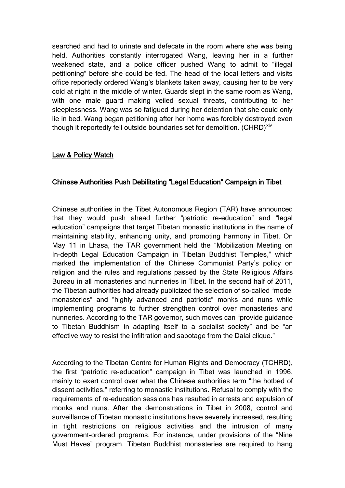searched and had to urinate and defecate in the room where she was being held. Authorities constantly interrogated Wang, leaving her in a further weakened state, and a police officer pushed Wang to admit to "illegal petitioning" before she could be fed. The head of the local letters and visits office reportedly ordered Wang's blankets taken away, causing her to be very cold at night in the middle of winter. Guards slept in the same room as Wang, with one male guard making veiled sexual threats, contributing to her sleeplessness. Wang was so fatigued during her detention that she could only lie in bed. Wang began petitioning after her home was forcibly destroyed even though it reportedly fell outside boundaries set for demolition. (CHRD)<sup>xiv</sup>

#### Law & Policy Watch

#### Chinese Authorities Push Debilitating "Legal Education" Campaign in Tibet

Chinese authorities in the Tibet Autonomous Region (TAR) have announced that they would push ahead further "patriotic re-education" and "legal education" campaigns that target Tibetan monastic institutions in the name of maintaining stability, enhancing unity, and promoting harmony in Tibet. On May 11 in Lhasa, the TAR government held the "Mobilization Meeting on In-depth Legal Education Campaign in Tibetan Buddhist Temples," which marked the implementation of the Chinese Communist Party's policy on religion and the rules and regulations passed by the State Religious Affairs Bureau in all monasteries and nunneries in Tibet. In the second half of 2011, the Tibetan authorities had already publicized the selection of so-called "model monasteries" and "highly advanced and patriotic" monks and nuns while implementing programs to further strengthen control over monasteries and nunneries. According to the TAR governor, such moves can "provide guidance to Tibetan Buddhism in adapting itself to a socialist society" and be "an effective way to resist the infiltration and sabotage from the Dalai clique."

According to the Tibetan Centre for Human Rights and Democracy (TCHRD), the first "patriotic re-education" campaign in Tibet was launched in 1996, mainly to exert control over what the Chinese authorities term "the hotbed of dissent activities," referring to monastic institutions. Refusal to comply with the requirements of re-education sessions has resulted in arrests and expulsion of monks and nuns. After the demonstrations in Tibet in 2008, control and surveillance of Tibetan monastic institutions have severely increased, resulting in tight restrictions on religious activities and the intrusion of many government-ordered programs. For instance, under provisions of the "Nine Must Haves" program, Tibetan Buddhist monasteries are required to hang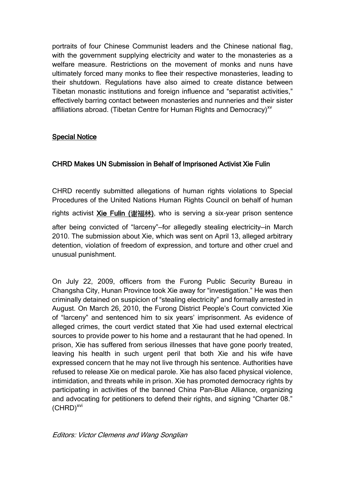portraits of four Chinese Communist leaders and the Chinese national flag, with the government supplying electricity and water to the monasteries as a welfare measure. Restrictions on the movement of monks and nuns have ultimately forced many monks to flee their respective monasteries, leading to their shutdown. Regulations have also aimed to create distance between Tibetan monastic institutions and foreign influence and "separatist activities," effectively barring contact between monasteries and nunneries and their sister affiliations abroad. (Tibetan Centre for Human Rights and Democracy)<sup>xv</sup>

#### Special Notice

### CHRD Makes UN Submission in Behalf of Imprisoned Activist Xie Fulin

CHRD recently submitted allegations of human rights violations to Special Procedures of the United Nations Human Rights Council on behalf of human rights activist [Xie Fulin \(](http://chrdnet.com/2012/05/19/submission-to-un-on-xie-fulin-april-13-2012/)谢福林), who is serving a six-year prison sentence after being convicted of "larceny"—for allegedly stealing electricity—in March 2010. The submission about Xie, which was sent on April 13, alleged arbitrary

detention, violation of freedom of expression, and torture and other cruel and unusual punishment.

On July 22, 2009, officers from the Furong Public Security Bureau in Changsha City, Hunan Province took Xie away for "investigation." He was then criminally detained on suspicion of "stealing electricity" and formally arrested in August. On March 26, 2010, the Furong District People's Court convicted Xie of "larceny" and sentenced him to six years' imprisonment. As evidence of alleged crimes, the court verdict stated that Xie had used external electrical sources to provide power to his home and a restaurant that he had opened. In prison, Xie has suffered from serious illnesses that have gone poorly treated, leaving his health in such urgent peril that both Xie and his wife have expressed concern that he may not live through his sentence. Authorities have refused to release Xie on medical parole. Xie has also faced physical violence, intimidation, and threats while in prison. Xie has promoted democracy rights by participating in activities of the banned China Pan-Blue Alliance, organizing and advocating for petitioners to defend their rights, and signing "Charter 08."  $(CHRD)^{xvi}$ 

Editors: Victor Clemens and Wang Songlian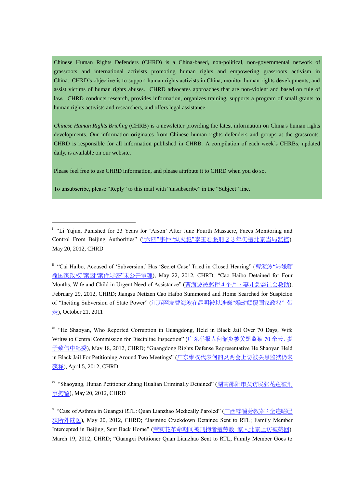Chinese Human Rights Defenders (CHRD) is a China-based, non-political, non-governmental network of grassroots and international activists promoting human rights and empowering grassroots activism in China. CHRD's objective is to support human rights activists in China, monitor human rights developments, and assist victims of human rights abuses. CHRD advocates approaches that are non-violent and based on rule of law. CHRD conducts research, provides information, organizes training, supports a program of small grants to human rights activists and researchers, and offers legal assistance.

*Chinese Human Rights Briefing* (CHRB) is a newsletter providing the latest information on China's human rights developments. Our information originates from Chinese human rights defenders and groups at the grassroots. CHRD is responsible for all information published in CHRB. A compilation of each week's CHRBs, updated daily, is available on our website.

Please feel free to use CHRD information, and please attribute it to CHRD when you do so.

To unsubscribe, please "Reply" to this mail with "unsubscribe" in the "Subject" line.

1

<sup>ii</sup> "Cai Haibo, Accused of 'Subversion,' Has 'Secret Case' Tried in Closed Hearing" (<u>[曹海波](http://wqw2010.blogspot.com/2012/05/blog-post_4227.html?spref=tw)"涉嫌颠</u> [覆国家政权](http://wqw2010.blogspot.com/2012/05/blog-post_4227.html?spref=tw)"案因"案件涉密"未公开审理), May 22, 2012, CHRD; "Cao Haibo Detained for Four Months, Wife and Child in Urgent Need of Assistance" (曹海波被羁押 4 [个月,妻儿急需社会救助](http://wqw2010.blogspot.com/2012/02/4.html)), February 29, 2012, CHRD; Jiangsu Netizen Cao Haibo Summoned and Home Searched for Suspicion of "Inciting Subversion of State Power" ([江苏网友曹海波在昆明被以涉嫌](http://wqw2010.blogspot.com/2011/10/blog-post_2265.html)"煽动颠覆国家政权" 带 [走](http://wqw2010.blogspot.com/2011/10/blog-post_2265.html)), October 21, 2011

iii "He Shaoyan, Who Reported Corruption in Guangdong, Held in Black Jail Over 70 Days, Wife Writes to Central Commission for Discipline Inspection" ([广东举报人何韶炎被关黑监狱](http://wqw2010.blogspot.com/2012/05/70_18.html) 70 余天, 妻 [子致信中纪委](http://wqw2010.blogspot.com/2012/05/70_18.html)), May 18, 2012, CHRD; "Guangdong Rights Defense Representative He Shaoyan Held in Black Jail For Petitioning Around Two Meetings" ([广东维权代表何韶炎两会上访被关黑监狱仍未](http://wqw2010.blogspot.com/2012/04/blog-post_636.html) [获释](http://wqw2010.blogspot.com/2012/04/blog-post_636.html)), April 5, 2012, CHRD

iv "Shaoyang, Hunan Petitioner Zhang Hualian Criminally Detained" ([湖南邵阳市女访民张花莲被刑](http://wqw2010.blogspot.com/2012/05/blog-post_6921.html) [事拘留](http://wqw2010.blogspot.com/2012/05/blog-post_6921.html)), May 20, 2012, CHRD

v "Case of Asthma in Guangxi RTL: Quan Lianzhao Medically Paroled" ([广西哮喘劳教案:全连昭已](http://wqw2010.blogspot.com/2012/05/blog-post_2969.html) [获所外就医](http://wqw2010.blogspot.com/2012/05/blog-post_2969.html)), May 20, 2012, CHRD; "Jasmine Crackdown Detainee Sent to RTL; Family Member Intercepted in Beijing, Sent Back Home" ([茉莉花革命期间被刑拘者遭劳教](http://wqw2010.blogspot.com/2012/03/blog-post_3363.html) 家人北京上访被截回), March 19, 2012, CHRD; "Guangxi Petitioner Quan Lianzhao Sent to RTL, Family Member Goes to

<sup>&</sup>lt;sup>i</sup> "Li Yujun, Punished for 23 Years for 'Arson' After June Fourth Massacre, Faces Monitoring and Control From Beijing Authorities" ("六四"事件"纵火犯"[李玉君服刑23年仍遭北京当局监控](http://wqw2010.blogspot.com/2012/05/blog-post_6648.html)), May 20, 2012, CHRD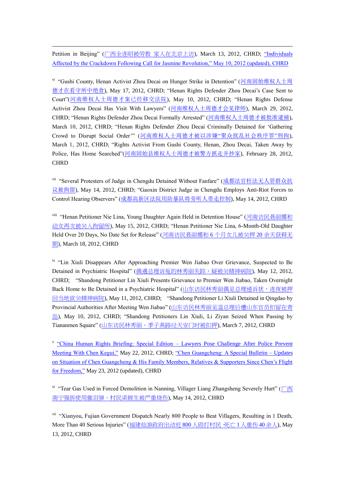Petition in Beijing" ([广西全连昭被劳教](http://wqw2010.blogspot.com/2012/03/blog-post_2539.html) 家人在北京上访), March 13, 2012, CHRD; "Individuals [Affected by the Crackdown Following Call for Jasmine Revolution," May 10, 2012 \(updated\), CHRD](http://chrdnet.com/2012/03/05/jasmine_crackdown/)

<u>.</u>

vi "Gushi County, Henan Activist Zhou Decai on Hunger Strike in Detention" ([河南固始维权人士周](http://wqw2010.blogspot.com/2012/05/blog-post_7219.html) [德才在看守所中绝食](http://wqw2010.blogspot.com/2012/05/blog-post_7219.html)), May 17, 2012, CHRD; "Henan Rights Defender Zhou Decai's Case Sent to Court"([河南维权人士周德才案已经移交法院](http://wqw2010.blogspot.com/2012/05/blog-post_4444.html)), May 10, 2012, CHRD; "Henan Rights Defense Activist Zhou Decai Has Visit With Lawyers" ([河南维权人士周德才会见律师](http://wqw2010.blogspot.com/2012/03/blog-post_7793.html)), March 29, 2012, CHRD; "Henan Rights Defender Zhou Decai Formally Arrested" ([河南维权人士周德才被批准逮捕](http://wqw2010.blogspot.com/2012/03/blog-post_8529.html)), March 10, 2012, CHRD; "Henan Rights Defender Zhou Decai Criminally Detained for 'Gathering Crowd to Disrupt Social Order'" ([河南维权人士周德才被以涉嫌](http://wqw2010.blogspot.com/2012/03/blog-post_2058.html)"聚众扰乱社会秩序罪"刑拘), March 1, 2012, CHRD; "Rights Activist From Gushi County, Henan, Zhou Decai, Taken Away by Police, Has Home Searched"([河南固始县维权人士周德才被警方抓走并抄家](http://wqw2010.blogspot.com/2012/02/blog-post_5309.html)), February 28, 2012, **CHRD** 

vii "Several Protesters of Judge in Chengdu Detained Without Fanfare" ([成都法官枉法无人管群众抗](http://wqw2010.blogspot.com/2012/05/blog-post_7510.html) [议被拘留](http://wqw2010.blogspot.com/2012/05/blog-post_7510.html)), May 14, 2012, CHRD; "Gaoxin District Judge in Chengdu Employs Anti-Riot Forces to Control Hearing Observers" ([成都高新区法院用防暴队将旁听人带走控制](http://wqw2010.blogspot.com/2012/05/blog-post_8363.html)), May 14, 2012, CHRD

viii "Henan Petitioner Nie Lina, Young Daughter Again Held in Detention House" ([河南访民聂丽娜和](http://wqw2010.blogspot.com/2012/05/blog-post_15.html) [幼女再次被关入拘留所](http://wqw2010.blogspot.com/2012/05/blog-post_15.html)), May 15, 2012, CHRD; "Henan Petitioner Nie Lina, 6-Month-Old Daughter Held Over 20 Days, No Date Set for Release" ([河南访民聂丽娜和](http://wqw2010.blogspot.com/2012/03/620.html) 6 个月女儿被关押 20 余天获释无 [期](http://wqw2010.blogspot.com/2012/03/620.html)), March 18, 2012, CHRD

<sup>ix</sup> "Lin Xiuli Disappears After Approaching Premier Wen Jiabao Over Grievance, Suspected to Be Detained in Psychiatric Hospital" ([偶遇总理诉冤的林秀丽失踪,疑被关精神病院](http://wqw2010.blogspot.com/2012/05/blog-post_3929.html)), May 12, 2012, CHRD; "Shandong Petitioner Lin Xiuli Presents Grievance to Premier Wen Jiabao, Taken Overnight Back Home to Be Detained in a Psychiatric Hospital" ([山东访民林秀丽偶见总理递诉状,连夜被押](http://wqw2010.blogspot.com/2012/05/blog-post_6715.html) [回当地欲关精神病院](http://wqw2010.blogspot.com/2012/05/blog-post_6715.html)), May 11, 2012, CHRD; "Shandong Petitioner Li Xiuli Detained in Qingdao by Provincial Authorities After Meeting Wen Jiabao" ([山东访民林秀丽见温总理后遭山东官员扣留在青](http://wqw2010.blogspot.com/2012/05/blog-post_7454.html) [岛](http://wqw2010.blogspot.com/2012/05/blog-post_7454.html)), May 10, 2012, CHRD; "Shandong Petitioners Lin Xiuli, Li Ziyan Seized When Passing by Tiananmen Square" ([山东访民林秀丽、季子燕路经天安门时被扣押](http://wqw2010.blogspot.com/2012/03/blog-post_9104.html)), March 7, 2012, CHRD

<sup>x</sup> ["China Human Rights Briefing: Special Edition –](http://chrdnet.com/2012/05/22/chrd-news-alert-lawyers-pose-challenge-after-police-prevent-meeting-with-chen-kegui/) Lawyers Pose Challenge After Police Prevent [Meeting With Chen Kegui,"](http://chrdnet.com/2012/05/22/chrd-news-alert-lawyers-pose-challenge-after-police-prevent-meeting-with-chen-kegui/) May 22, 2012, CHRD; ["Chen Guangcheng: A Special Bulletin –](http://chrdnet.com/2012/05/15/chen-guangcheng-a-special-bulletin-updates-on-situation-of-chen-guangcheng-his-family-members-relatives-supporters-since-chens-flight-for-freedom/) Updates [on Situation of Chen Guangcheng & His Family Members, Relatives & Supporters Since Chen's Flight](http://chrdnet.com/2012/05/15/chen-guangcheng-a-special-bulletin-updates-on-situation-of-chen-guangcheng-his-family-members-relatives-supporters-since-chens-flight-for-freedom/)  [for Freedom,"](http://chrdnet.com/2012/05/15/chen-guangcheng-a-special-bulletin-updates-on-situation-of-chen-guangcheng-his-family-members-relatives-supporters-since-chens-flight-for-freedom/) May 23, 2012 (updated), CHRD

<sup>xi</sup> "Tear Gas Used in Forced Demolition in Nanning, Villager Liang Zhangsheng Severely Hurt" ([广西](http://wqw2010.blogspot.com/2012/05/blog-post_7848.html) [南宁强拆使用催泪弹,村民梁展生被严重烧伤](http://wqw2010.blogspot.com/2012/05/blog-post_7848.html)), May 14, 2012, CHRD

xii "Xianyou, Fujian Government Dispatch Nearly 800 People to Beat Villagers, Resulting in 1 Death, More Than 40 Serious Injuries" ([福建仙游政府出动近](http://wqw2010.blogspot.com/2012/05/800140.html) 800 人殴打村民,死亡 1人重伤 40余人), May 13, 2012, CHRD